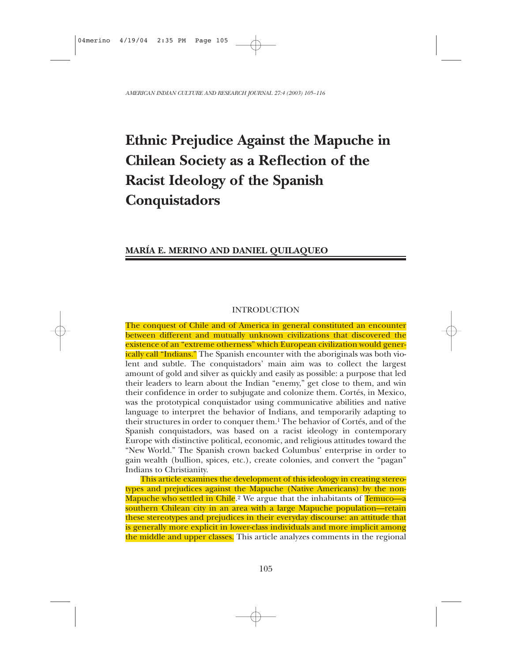# **Ethnic Prejudice Against the Mapuche in Chilean Society as a Reflection of the Racist Ideology of the Spanish Conquistadors**

# **MARÍA E. MERINO AND DANIEL QUILAQUEO**

# INTRODUCTION

The conquest of Chile and of America in general constituted an encounter between different and mutually unknown civilizations that discovered the existence of an "extreme otherness" which European civilization would generically call "Indians." The Spanish encounter with the aboriginals was both violent and subtle. The conquistadors' main aim was to collect the largest amount of gold and silver as quickly and easily as possible: a purpose that led their leaders to learn about the Indian "enemy," get close to them, and win their confidence in order to subjugate and colonize them. Cortés, in Mexico, was the prototypical conquistador using communicative abilities and native language to interpret the behavior of Indians, and temporarily adapting to their structures in order to conquer them.1 The behavior of Cortés, and of the Spanish conquistadors, was based on a racist ideology in contemporary Europe with distinctive political, economic, and religious attitudes toward the "New World." The Spanish crown backed Columbus' enterprise in order to gain wealth (bullion, spices, etc.), create colonies, and convert the "pagan" Indians to Christianity.

This article examines the development of this ideology in creating stereotypes and prejudices against the Mapuche (Native Americans) by the non-Mapuche who settled in Chile.<sup>2</sup> We argue that the inhabitants of Temuco—a southern Chilean city in an area with a large Mapuche population—retain these stereotypes and prejudices in their everyday discourse: an attitude that is generally more explicit in lower-class individuals and more implicit among the middle and upper classes. This article analyzes comments in the regional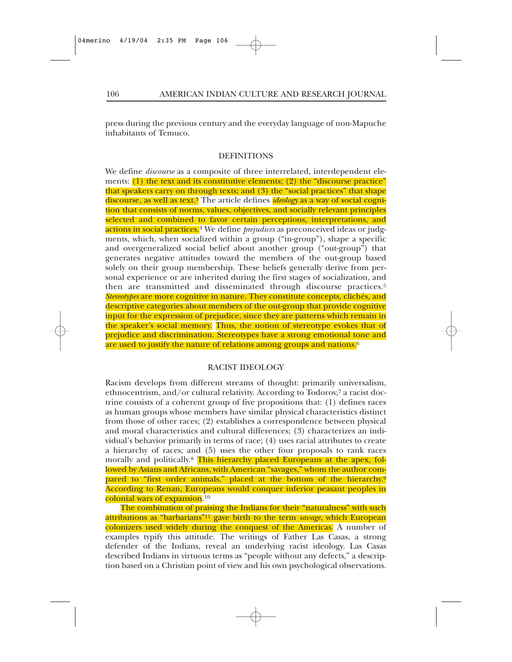press during the previous century and the everyday language of non-Mapuche inhabitants of Temuco.

## DEFINITIONS

We define *discourse* as a composite of three interrelated, interdependent elements: (1) the text and its constitutive elements; (2) the "discourse practice" that speakers carry on through texts; and (3) the "social practices" that shape discourse, as well as text.3 The article defines *ideology* as a way of social cognition that consists of norms, values, objectives, and socially relevant principles selected and combined to favor certain perceptions, interpretations, and actions in social practices.<sup>4</sup> We define *prejudices* as preconceived ideas or judgments, which, when socialized within a group ("in-group"), shape a specific and overgeneralized social belief about another group ("out-group") that generates negative attitudes toward the members of the out-group based solely on their group membership. These beliefs generally derive from personal experience or are inherited during the first stages of socialization, and then are transmitted and disseminated through discourse practices.<sup>5</sup> *Stereotypes* are more cognitive in nature. They constitute concepts, clichés, and descriptive categories about members of the out-group that provide cognitive input for the expression of prejudice, since they are patterns which remain in the speaker's social memory. Thus, the notion of stereotype evokes that of prejudice and discrimination. Stereotypes have a strong emotional tone and are used to justify the nature of relations among groups and nations.<sup>6</sup>

### RACIST IDEOLOGY

Racism develops from different streams of thought: primarily universalism, ethnocentrism, and/or cultural relativity. According to Todorov,7 a racist doctrine consists of a coherent group of five propositions that: (1) defines races as human groups whose members have similar physical characteristics distinct from those of other races; (2) establishes a correspondence between physical and moral characteristics and cultural differences; (3) characterizes an individual's behavior primarily in terms of race; (4) uses racial attributes to create a hierarchy of races; and (5) uses the other four proposals to rank races morally and politically.<sup>8</sup> This hierarchy placed Europeans at the apex, followed by Asians and Africans, with American "savages," whom the author compared to "first order animals," placed at the bottom of the hierarchy.<sup>9</sup> According to Renan, Europeans would conquer inferior peasant peoples in colonial wars of expansion.10

The combination of praising the Indians for their "naturalness" with such attributions as "barbarians"11 gave birth to the term *savage*, which European colonizers used widely during the conquest of the Americas. A number of examples typify this attitude. The writings of Father Las Casas, a strong defender of the Indians, reveal an underlying racist ideology. Las Casas described Indians in virtuous terms as "people without any defects," a description based on a Christian point of view and his own psychological observations.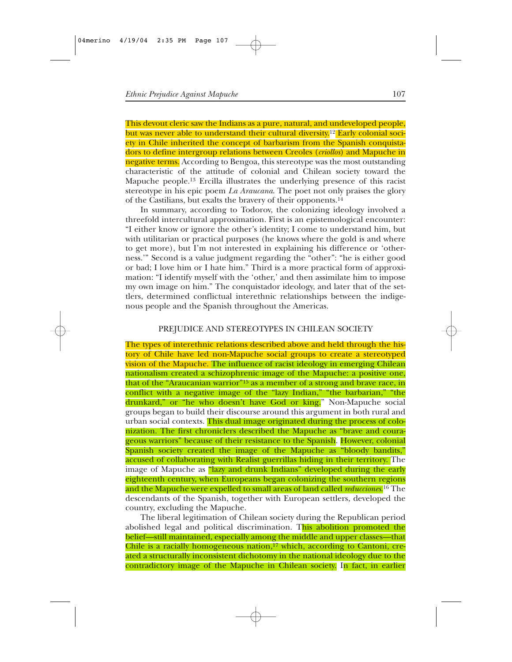This devout cleric saw the Indians as a pure, natural, and undeveloped people, but was never able to understand their cultural diversity.<sup>12</sup> Early colonial society in Chile inherited the concept of barbarism from the Spanish conquistadors to define intergroup relations between Creoles (*criollos*) and Mapuche in negative terms. According to Bengoa, this stereotype was the most outstanding characteristic of the attitude of colonial and Chilean society toward the Mapuche people.13 Ercilla illustrates the underlying presence of this racist stereotype in his epic poem *La Araucana*. The poet not only praises the glory of the Castilians, but exalts the bravery of their opponents.14

In summary, according to Todorov, the colonizing ideology involved a threefold intercultural approximation. First is an epistemological encounter: "I either know or ignore the other's identity; I come to understand him, but with utilitarian or practical purposes (he knows where the gold is and where to get more), but I'm not interested in explaining his difference or 'otherness.'" Second is a value judgment regarding the "other": "he is either good or bad; I love him or I hate him." Third is a more practical form of approximation: "I identify myself with the 'other,' and then assimilate him to impose my own image on him." The conquistador ideology, and later that of the settlers, determined conflictual interethnic relationships between the indigenous people and the Spanish throughout the Americas.

#### PREJUDICE AND STEREOTYPES IN CHILEAN SOCIETY

The types of interethnic relations described above and held through the history of Chile have led non-Mapuche social groups to create a stereotyped vision of the Mapuche. The influence of racist ideology in emerging Chilean nationalism created a schizophrenic image of the Mapuche: a positive one, that of the "Araucanian warrior"15 as a member of a strong and brave race, in conflict with a negative image of the "lazy Indian," "the barbarian," "the drunkard," or "he who doesn't have God or king." Non-Mapuche social groups began to build their discourse around this argument in both rural and urban social contexts. This dual image originated during the process of colonization. The first chroniclers described the Mapuche as "brave and courageous warriors" because of their resistance to the Spanish. However, colonial Spanish society created the image of the Mapuche as "bloody bandits," accused of collaborating with Realist guerrillas hiding in their territory. The image of Mapuche as "lazy and drunk Indians" developed during the early eighteenth century, when Europeans began colonizing the southern regions and the Mapuche were expelled to small areas of land called *reducciones*.16 The descendants of the Spanish, together with European settlers, developed the country, excluding the Mapuche.

The liberal legitimation of Chilean society during the Republican period abolished legal and political discrimination. This abolition promoted the belief—still maintained, especially among the middle and upper classes—that Chile is a racially homogeneous nation,  $17$  which, according to Cantoni, created a structurally inconsistent dichotomy in the national ideology due to the contradictory image of the Mapuche in Chilean society. In fact, in earlier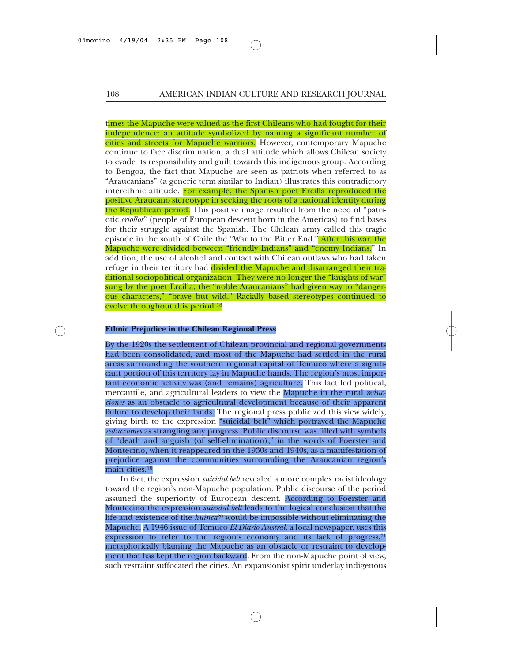times the Mapuche were valued as the first Chileans who had fought for their independence: an attitude symbolized by naming a significant number of cities and streets for Mapuche warriors. However, contemporary Mapuche continue to face discrimination, a dual attitude which allows Chilean society to evade its responsibility and guilt towards this indigenous group. According to Bengoa, the fact that Mapuche are seen as patriots when referred to as "Araucanians" (a generic term similar to Indian) illustrates this contradictory interethnic attitude. For example, the Spanish poet Ercilla reproduced the positive Araucano stereotype in seeking the roots of a national identity during the Republican period. This positive image resulted from the need of "patriotic *criollos*" (people of European descent born in the Americas) to find bases for their struggle against the Spanish. The Chilean army called this tragic episode in the south of Chile the "War to the Bitter End." After this war, the Mapuche were divided between "friendly Indians" and "enemy Indians." In addition, the use of alcohol and contact with Chilean outlaws who had taken refuge in their territory had divided the Mapuche and disarranged their traditional sociopolitical organization. They were no longer the "knights of war" sung by the poet Ercilla; the "noble Araucanians" had given way to "dangerous characters," "brave but wild." Racially based stereotypes continued to evolve throughout this period.18

#### **Ethnic Prejudice in the Chilean Regional Press**

By the 1920s the settlement of Chilean provincial and regional governments had been consolidated, and most of the Mapuche had settled in the rural areas surrounding the southern regional capital of Temuco where a significant portion of this territory lay in Mapuche hands. The region's most important economic activity was (and remains) agriculture. This fact led political, mercantile, and agricultural leaders to view the Mapuche in the rural *reducciones* as an obstacle to agricultural development because of their apparent failure to develop their lands. The regional press publicized this view widely, giving birth to the expression "suicidal belt" which portrayed the Mapuche *reducciones* as strangling any progress. Public discourse was filled with symbols of "death and anguish (of self-elimination)," in the words of Foerster and Montecino, when it reappeared in the 1930s and 1940s, as a manifestation of prejudice against the communities surrounding the Araucanian region's main cities.19

In fact, the expression *suicidal belt* revealed a more complex racist ideology toward the region's non-Mapuche population. Public discourse of the period assumed the superiority of European descent. According to Foerster and Montecino the expression *suicidal belt* leads to the logical conclusion that the life and existence of the *huinca*<sup>20</sup> would be impossible without eliminating the Mapuche. A 1946 issue of Temuco *El Diario Austral*, a local newspaper, uses this expression to refer to the region's economy and its lack of progress,<sup>21</sup> metaphorically blaming the Mapuche as an obstacle or restraint to development that has kept the region backward. From the non-Mapuche point of view, such restraint suffocated the cities. An expansionist spirit underlay indigenous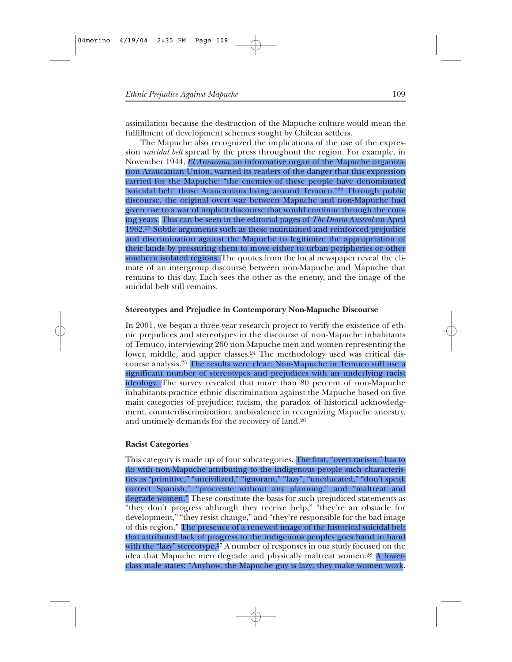assimilation because the destruction of the Mapuche culture would mean the fulfillment of development schemes sought by Chilean settlers.

The Mapuche also recognized the implications of the use of the expression *suicidal belt* spread by the press throughout the region. For example, in November 1944, *El Araucano*, an informative organ of the Mapuche organization Araucanian Union, warned its readers of the danger that this expression carried for the Mapuche: "the enemies of these people have denominated 'suicidal belt' those Araucanians living around Temuco."22 Through public discourse, the original overt war between Mapuche and non-Mapuche had given rise to a war of implicit discourse that would continue through the coming years. This can be seen in the editorial pages of *The Diario Austral* on April 1962.23 Subtle arguments such as these maintained and reinforced prejudice and discrimination against the Mapuche to legitimize the appropriation of their lands by pressuring them to move either to urban peripheries or other southern isolated regions. The quotes from the local newspaper reveal the climate of an intergroup discourse between non-Mapuche and Mapuche that remains to this day. Each sees the other as the enemy, and the image of the suicidal belt still remains.

## **Stereotypes and Prejudice in Contemporary Non-Mapuche Discourse**

In 2001, we began a three-year research project to verify the existence of ethnic prejudices and stereotypes in the discourse of non-Mapuche inhabitants of Temuco, interviewing 260 non-Mapuche men and women representing the lower, middle, and upper classes.<sup>24</sup> The methodology used was critical discourse analysis.25 The results were clear: Non-Mapuche in Temuco still use a significant number of stereotypes and prejudices with an underlying racist ideology. The survey revealed that more than 80 percent of non-Mapuche inhabitants practice ethnic discrimination against the Mapuche based on five main categories of prejudice: racism, the paradox of historical acknowledgment, counterdiscrimination, ambivalence in recognizing Mapuche ancestry, and untimely demands for the recovery of land.26

# **Racist Categories**

This category is made up of four subcategories. The first, "overt racism," has to do with non-Mapuche attributing to the indigenous people such characteristics as "primitive," "uncivilized," "ignorant," "lazy", "uneducated," "don't speak correct Spanish," "procreate without any planning," and "maltreat and degrade women." These constitute the basis for such prejudiced statements as "they don't progress although they receive help," "they're an obstacle for development," "they resist change," and "they're responsible for the bad image of this region." The presence of a renewed image of the historical suicidal belt that attributed lack of progress to the indigenous peoples goes hand in hand with the "lazy" stereotype.<sup>27</sup> A number of responses in our study focused on the idea that Mapuche men degrade and physically maltreat women.28 A lowerclass male states: "Anyhow, the Mapuche guy is lazy; they make women work.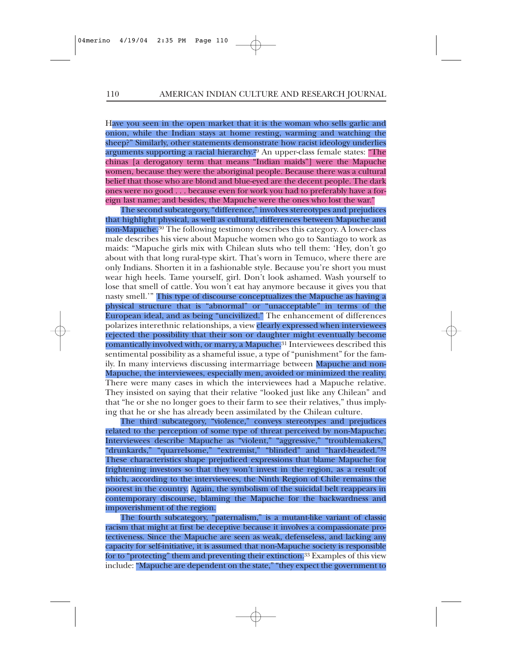Have you seen in the open market that it is the woman who sells garlic and onion, while the Indian stays at home resting, warming and watching the sheep?" Similarly, other statements demonstrate how racist ideology underlies arguments supporting a racial hierarchy.29 An upper-class female states: "The chinas [a derogatory term that means "Indian maids"] were the Mapuche women, because they were the aboriginal people. Because there was a cultural belief that those who are blond and blue-eyed are the decent people. The dark ones were no good . . . because even for work you had to preferably have a foreign last name; and besides, the Mapuche were the ones who lost the war."

The second subcategory, "difference," involves stereotypes and prejudices that highlight physical, as well as cultural, differences between Mapuche and non-Mapuche.<sup>30</sup> The following testimony describes this category. A lower-class male describes his view about Mapuche women who go to Santiago to work as maids: "Mapuche girls mix with Chilean sluts who tell them: 'Hey, don't go about with that long rural-type skirt. That's worn in Temuco, where there are only Indians. Shorten it in a fashionable style. Because you're short you must wear high heels. Tame yourself, girl. Don't look ashamed. Wash yourself to lose that smell of cattle. You won't eat hay anymore because it gives you that nasty smell.'" This type of discourse conceptualizes the Mapuche as having a physical structure that is "abnormal" or "unacceptable" in terms of the European ideal, and as being "uncivilized." The enhancement of differences polarizes interethnic relationships, a view clearly expressed when interviewees rejected the possibility that their son or daughter might eventually become romantically involved with, or marry, a Mapuche.<sup>31</sup> Interviewees described this sentimental possibility as a shameful issue, a type of "punishment" for the family. In many interviews discussing intermarriage between Mapuche and non-Mapuche, the interviewees, especially men, avoided or minimized the reality. There were many cases in which the interviewees had a Mapuche relative. They insisted on saying that their relative "looked just like any Chilean" and that "he or she no longer goes to their farm to see their relatives," thus implying that he or she has already been assimilated by the Chilean culture.

The third subcategory, "violence," conveys stereotypes and prejudices related to the perception of some type of threat perceived by non-Mapuche. Interviewees describe Mapuche as "violent," "aggressive," "troublemakers," "drunkards," "quarrelsome," "extremist," "blinded" and "hard-headed."32 These characteristics shape prejudiced expressions that blame Mapuche for frightening investors so that they won't invest in the region, as a result of which, according to the interviewees, the Ninth Region of Chile remains the poorest in the country. Again, the symbolism of the suicidal belt reappears in contemporary discourse, blaming the Mapuche for the backwardness and impoverishment of the region.

The fourth subcategory, "paternalism," is a mutant-like variant of classic racism that might at first be deceptive because it involves a compassionate protectiveness. Since the Mapuche are seen as weak, defenseless, and lacking any capacity for self-initiative, it is assumed that non-Mapuche society is responsible for to "protecting" them and preventing their extinction.33 Examples of this view include: "Mapuche are dependent on the state," "they expect the government to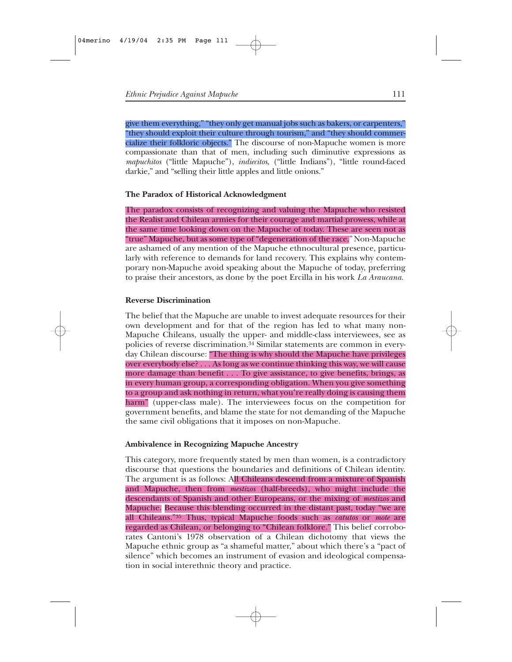give them everything," "they only get manual jobs such as bakers, or carpenters," "they should exploit their culture through tourism," and "they should commercialize their folkloric objects." The discourse of non-Mapuche women is more compassionate than that of men, including such diminutive expressions as *mapuchitos* ("little Mapuche"), *indiecitos*, ("little Indians"), "little round-faced darkie," and "selling their little apples and little onions."

# **The Paradox of Historical Acknowledgment**

The paradox consists of recognizing and valuing the Mapuche who resisted the Realist and Chilean armies for their courage and martial prowess, while at the same time looking down on the Mapuche of today. These are seen not as "true" Mapuche, but as some type of "degeneration of the race." Non-Mapuche are ashamed of any mention of the Mapuche ethnocultural presence, particularly with reference to demands for land recovery. This explains why contemporary non-Mapuche avoid speaking about the Mapuche of today, preferring to praise their ancestors, as done by the poet Ercilla in his work *La Araucana.*

# **Reverse Discrimination**

The belief that the Mapuche are unable to invest adequate resources for their own development and for that of the region has led to what many non-Mapuche Chileans, usually the upper- and middle-class interviewees, see as policies of reverse discrimination.34 Similar statements are common in everyday Chilean discourse: "The thing is why should the Mapuche have privileges over everybody else? . . . As long as we continue thinking this way, we will cause more damage than benefit . . . To give assistance, to give benefits, brings, as in every human group, a corresponding obligation. When you give something to a group and ask nothing in return, what you're really doing is causing them harm" (upper-class male). The interviewees focus on the competition for government benefits, and blame the state for not demanding of the Mapuche the same civil obligations that it imposes on non-Mapuche.

## **Ambivalence in Recognizing Mapuche Ancestry**

This category, more frequently stated by men than women, is a contradictory discourse that questions the boundaries and definitions of Chilean identity. The argument is as follows: All Chileans descend from a mixture of Spanish and Mapuche, then from *mestizos* (half-breeds), who might include the descendants of Spanish and other Europeans, or the mixing of *mestizos* and Mapuche. Because this blending occurred in the distant past, today "we are all Chileans."35 Thus, typical Mapuche foods such as *catutos* or *mote* are regarded as Chilean, or belonging to "Chilean folklore." This belief corroborates Cantoni's 1978 observation of a Chilean dichotomy that views the Mapuche ethnic group as "a shameful matter," about which there's a "pact of silence" which becomes an instrument of evasion and ideological compensation in social interethnic theory and practice.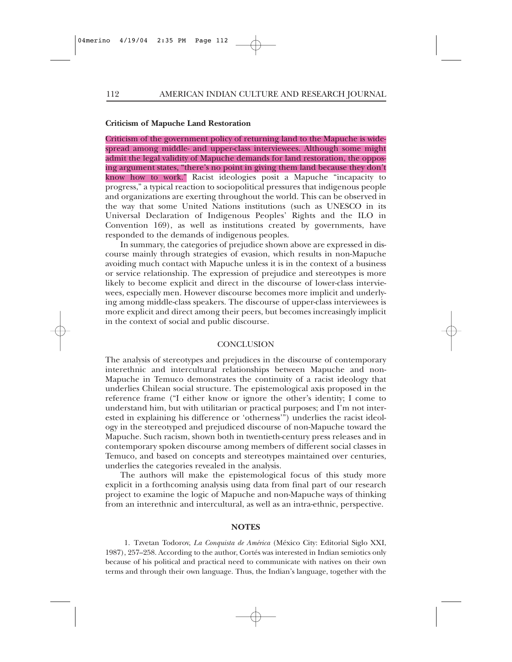#### **Criticism of Mapuche Land Restoration**

Criticism of the government policy of returning land to the Mapuche is widespread among middle- and upper-class interviewees. Although some might admit the legal validity of Mapuche demands for land restoration, the opposing argument states, "there's no point in giving them land because they don't know how to work." Racist ideologies posit a Mapuche "incapacity to progress," a typical reaction to sociopolitical pressures that indigenous people and organizations are exerting throughout the world. This can be observed in the way that some United Nations institutions (such as UNESCO in its Universal Declaration of Indigenous Peoples' Rights and the ILO in Convention 169), as well as institutions created by governments, have responded to the demands of indigenous peoples.

In summary, the categories of prejudice shown above are expressed in discourse mainly through strategies of evasion, which results in non-Mapuche avoiding much contact with Mapuche unless it is in the context of a business or service relationship. The expression of prejudice and stereotypes is more likely to become explicit and direct in the discourse of lower-class interviewees, especially men. However discourse becomes more implicit and underlying among middle-class speakers. The discourse of upper-class interviewees is more explicit and direct among their peers, but becomes increasingly implicit in the context of social and public discourse.

#### **CONCLUSION**

The analysis of stereotypes and prejudices in the discourse of contemporary interethnic and intercultural relationships between Mapuche and non-Mapuche in Temuco demonstrates the continuity of a racist ideology that underlies Chilean social structure. The epistemological axis proposed in the reference frame ("I either know or ignore the other's identity; I come to understand him, but with utilitarian or practical purposes; and I'm not interested in explaining his difference or 'otherness'") underlies the racist ideology in the stereotyped and prejudiced discourse of non-Mapuche toward the Mapuche. Such racism, shown both in twentieth-century press releases and in contemporary spoken discourse among members of different social classes in Temuco, and based on concepts and stereotypes maintained over centuries, underlies the categories revealed in the analysis.

The authors will make the epistemological focus of this study more explicit in a forthcoming analysis using data from final part of our research project to examine the logic of Mapuche and non-Mapuche ways of thinking from an interethnic and intercultural, as well as an intra-ethnic, perspective.

#### **NOTES**

1. Tzvetan Todorov, *La Conquista de América* (México City: Editorial Siglo XXI, 1987), 257–258. According to the author, Cortés was interested in Indian semiotics only because of his political and practical need to communicate with natives on their own terms and through their own language. Thus, the Indian's language, together with the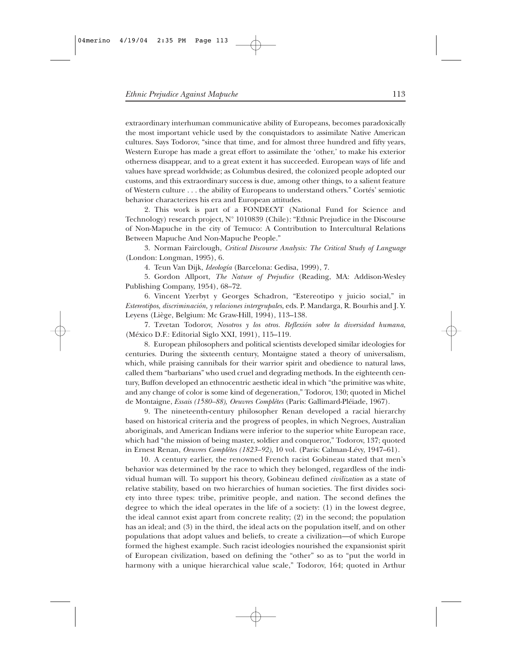extraordinary interhuman communicative ability of Europeans, becomes paradoxically the most important vehicle used by the conquistadors to assimilate Native American cultures. Says Todorov, "since that time, and for almost three hundred and fifty years, Western Europe has made a great effort to assimilate the 'other,' to make his exterior otherness disappear, and to a great extent it has succeeded. European ways of life and values have spread worldwide; as Columbus desired, the colonized people adopted our customs, and this extraordinary success is due, among other things, to a salient feature of Western culture . . . the ability of Europeans to understand others." Cortés' semiotic behavior characterizes his era and European attitudes.

2. This work is part of a FONDECYT (National Fund for Science and Technology) research project, N° 1010839 (Chile): "Ethnic Prejudice in the Discourse of Non-Mapuche in the city of Temuco: A Contribution to Intercultural Relations Between Mapuche And Non-Mapuche People."

3. Norman Fairclough, *Critical Discourse Analysis: The Critical Study of Language* (London: Longman, 1995), 6.

4. Teun Van Dijk, *Ideología* (Barcelona: Gedisa, 1999), 7.

5. Gordon Allport, *The Nature of Prejudice* (Reading, MA: Addison-Wesley Publishing Company, 1954), 68–72.

6. Vincent Yzerbyt y Georges Schadron, "Estereotipo y juicio social," in *Estereotipos, discriminación, y relaciones intergrupales*, eds. P. Mandarga, R. Bourhis and J. Y. Leyens (Liège, Belgium: Mc Graw-Hill, 1994), 113–138.

7. Tzvetan Todorov, *Nosotros y los otros. Reflexión sobre la diversidad humana*, (México D.F.: Editorial Siglo XXI, 1991), 115–119.

8. European philosophers and political scientists developed similar ideologies for centuries. During the sixteenth century, Montaigne stated a theory of universalism, which, while praising cannibals for their warrior spirit and obedience to natural laws, called them "barbarians" who used cruel and degrading methods. In the eighteenth century, Buffon developed an ethnocentric aesthetic ideal in which "the primitive was white, and any change of color is some kind of degeneration," Todorov, 130; quoted in Michel de Montaigne, *Essais (1580–88), Oeuvres Complétes* (Paris: Gallimard-Pléiade, 1967).

9. The nineteenth-century philosopher Renan developed a racial hierarchy based on historical criteria and the progress of peoples, in which Negroes, Australian aboriginals, and American Indians were inferior to the superior white European race, which had "the mission of being master, soldier and conqueror," Todorov, 137; quoted in Ernest Renan, *Oeuvres Complétes (1823–92)*, 10 vol. (Paris: Calman-Lévy, 1947–61).

10. A century earlier, the renowned French racist Gobineau stated that men's behavior was determined by the race to which they belonged, regardless of the individual human will. To support his theory, Gobineau defined *civilization* as a state of relative stability, based on two hierarchies of human societies. The first divides society into three types: tribe, primitive people, and nation. The second defines the degree to which the ideal operates in the life of a society: (1) in the lowest degree, the ideal cannot exist apart from concrete reality; (2) in the second; the population has an ideal; and (3) in the third, the ideal acts on the population itself, and on other populations that adopt values and beliefs, to create a civilization—of which Europe formed the highest example. Such racist ideologies nourished the expansionist spirit of European civilization, based on defining the "other" so as to "put the world in harmony with a unique hierarchical value scale," Todorov, 164; quoted in Arthur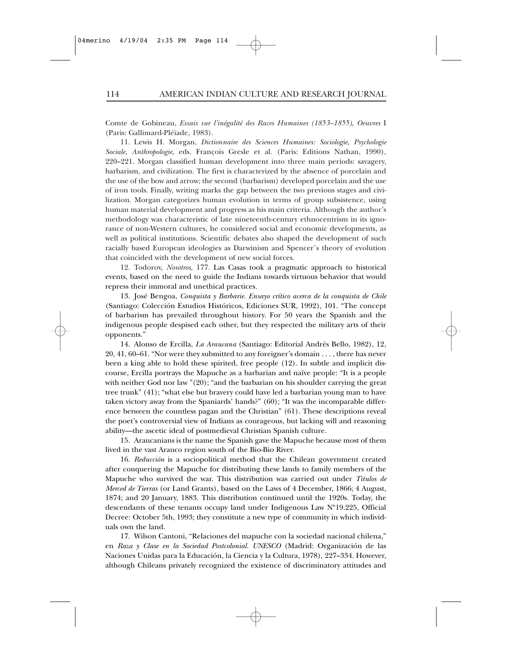Comte de Gobineau, *Essais sur l'inégalité des Races Humaines (1853–1855)*, *Oeuvres* I (Paris: Gallimard-Pléiade, 1983).

11. Lewis H. Morgan, *Dictionnaire des Sciences Humaines: Sociologie, Psychologie Sociale, Anthropologie*, eds. François Gresle et al. (Paris: Editions Nathan, 1990), 220–221. Morgan classified human development into three main periods: savagery, barbarism, and civilization. The first is characterized by the absence of porcelain and the use of the bow and arrow; the second (barbarism) developed porcelain and the use of iron tools. Finally, writing marks the gap between the two previous stages and civilization. Morgan categorizes human evolution in terms of group subsistence, using human material development and progress as his main criteria. Although the author's methodology was characteristic of late nineteenth-century ethnocentrism in its ignorance of non-Western cultures, he considered social and economic developments, as well as political institutions. Scientific debates also shaped the development of such racially based European ideologies as Darwinism and Spencer´s theory of evolution that coincided with the development of new social forces.

12. Todorov, *Nosotros,* 177. Las Casas took a pragmatic approach to historical events, based on the need to guide the Indians towards virtuous behavior that would repress their immoral and unethical practices.

13. José Bengoa, *Conquista y Barbarie. Ensayo crítico acerca de la conquista de Chile* (Santiago: Colección Estudios Históricos, Ediciones SUR, 1992), 101. "The concept of barbarism has prevailed throughout history. For 50 years the Spanish and the indigenous people despised each other, but they respected the military arts of their opponents."

14. Alonso de Ercilla, *La Araucana* (Santiago: Editorial Andrés Bello, 1982), 12, 20, 41, 60–61. "Nor were they submitted to any foreigner's domain . . . , there has never been a king able to hold these spirited, free people (12). In subtle and implicit discourse, Ercilla portrays the Mapuche as a barbarian and naïve people: "It is a people with neither God nor law "(20); "and the barbarian on his shoulder carrying the great tree trunk" (41); "what else but bravery could have led a barbarian young man to have taken victory away from the Spaniards' hands?" (60); "It was the incomparable difference between the countless pagan and the Christian" (61). These descriptions reveal the poet's controversial view of Indians as courageous, but lacking will and reasoning ability—the ascetic ideal of postmedieval Christian Spanish culture.

15. Araucanians is the name the Spanish gave the Mapuche because most of them lived in the vast Arauco region south of the Bio-Bio River.

16. *Reducción* is a sociopolitical method that the Chilean government created after conquering the Mapuche for distributing these lands to family members of the Mapuche who survived the war. This distribution was carried out under *Tìtulos de Merced de Tierras* (or Land Grants), based on the Laws of 4 December, 1866; 4 August, 1874; and 20 January, 1883. This distribution continued until the 1920s. Today, the descendants of these tenants occupy land under Indigenous Law Nº19.225, Official Decree: October 5th, 1993; they constitute a new type of community in which individuals own the land.

17. Wilson Cantoni, "Relaciones del mapuche con la sociedad nacional chilena," en *Raza y Clase en la Sociedad Postcolonial. UNESCO* (Madrid: Organización de las Naciones Unidas para la Educación, la Ciencia y la Cultura, 1978), 227–334. However, although Chileans privately recognized the existence of discriminatory attitudes and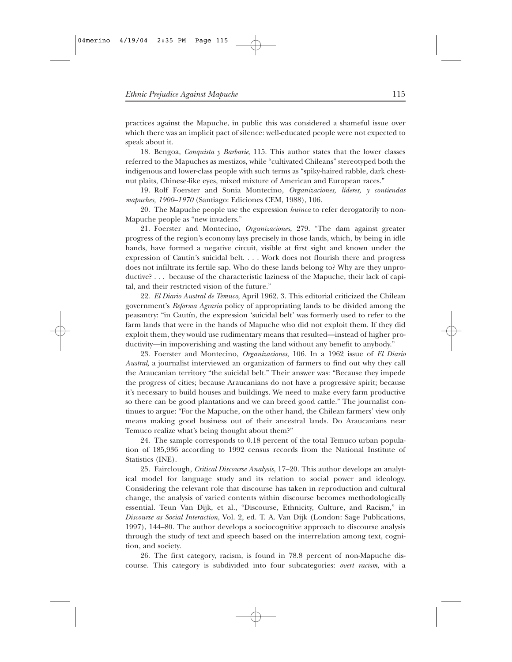practices against the Mapuche, in public this was considered a shameful issue over which there was an implicit pact of silence: well-educated people were not expected to speak about it.

18. Bengoa, *Conquista y Barbarie*, 115. This author states that the lower classes referred to the Mapuches as mestizos, while "cultivated Chileans" stereotyped both the indigenous and lower-class people with such terms as "spiky-haired rabble, dark chestnut plaits, Chinese-like eyes, mixed mixture of American and European races."

19. Rolf Foerster and Sonia Montecino*, Organizaciones, líderes, y contiendas mapuches, 1900–1970* (Santiago: Ediciones CEM, 1988), 106.

20. The Mapuche people use the expression *huinca* to refer derogatorily to non-Mapuche people as "new invaders."

21. Foerster and Montecino, *Organizaciones*, 279. "The dam against greater progress of the region's economy lays precisely in those lands, which, by being in idle hands, have formed a negative circuit, visible at first sight and known under the expression of Cautín's suicidal belt. . . . Work does not flourish there and progress does not infiltrate its fertile sap. Who do these lands belong to? Why are they unproductive? . . . because of the characteristic laziness of the Mapuche, their lack of capital, and their restricted vision of the future."

22. *El Diario Austral de Temuco*, April 1962, 3. This editorial criticized the Chilean government's *Reforma Agraria* policy of appropriating lands to be divided among the peasantry: "in Cautín, the expression 'suicidal belt' was formerly used to refer to the farm lands that were in the hands of Mapuche who did not exploit them. If they did exploit them, they would use rudimentary means that resulted—instead of higher productivity—in impoverishing and wasting the land without any benefit to anybody."

23. Foerster and Montecino, *Organizaciones*, 106. In a 1962 issue of *El Diario Austral,* a journalist interviewed an organization of farmers to find out why they call the Araucanian territory "the suicidal belt." Their answer was: "Because they impede the progress of cities; because Araucanians do not have a progressive spirit; because it's necessary to build houses and buildings. We need to make every farm productive so there can be good plantations and we can breed good cattle." The journalist continues to argue: "For the Mapuche, on the other hand, the Chilean farmers' view only means making good business out of their ancestral lands. Do Araucanians near Temuco realize what's being thought about them?"

24. The sample corresponds to 0.18 percent of the total Temuco urban population of 185,936 according to 1992 census records from the National Institute of Statistics (INE).

25. Fairclough, *Critical Discourse Analysis*, 17–20. This author develops an analytical model for language study and its relation to social power and ideology. Considering the relevant role that discourse has taken in reproduction and cultural change, the analysis of varied contents within discourse becomes methodologically essential. Teun Van Dijk, et al., "Discourse, Ethnicity, Culture, and Racism," in *Discourse as Social Interaction*, Vol. 2, ed. T. A. Van Dijk (London: Sage Publications, 1997), 144–80. The author develops a sociocognitive approach to discourse analysis through the study of text and speech based on the interrelation among text, cognition, and society.

26. The first category, racism, is found in 78.8 percent of non-Mapuche discourse. This category is subdivided into four subcategories: *overt racism*, with a